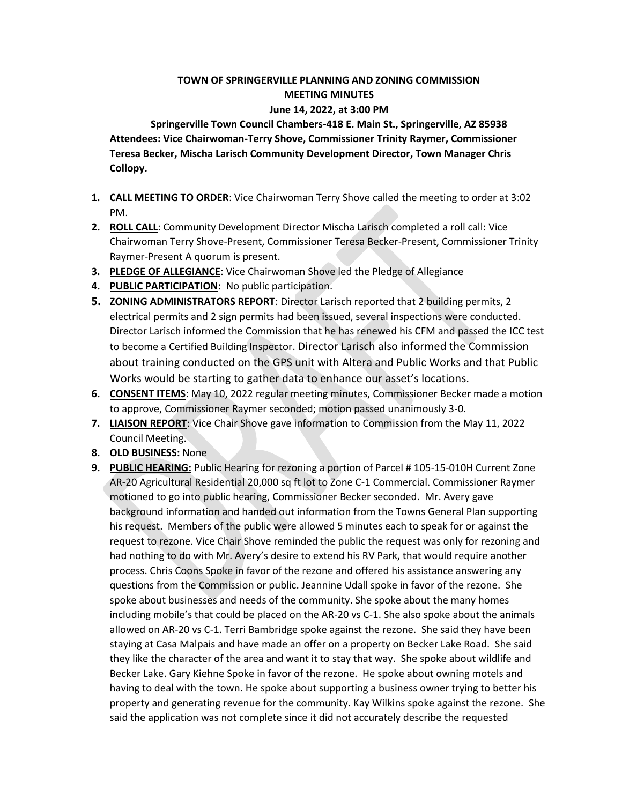## **TOWN OF SPRINGERVILLE PLANNING AND ZONING COMMISSION MEETING MINUTES**

## **June 14, 2022, at 3:00 PM**

**Springerville Town Council Chambers-418 E. Main St., Springerville, AZ 85938 Attendees: Vice Chairwoman-Terry Shove, Commissioner Trinity Raymer, Commissioner Teresa Becker, Mischa Larisch Community Development Director, Town Manager Chris Collopy.**

- **1. CALL MEETING TO ORDER**: Vice Chairwoman Terry Shove called the meeting to order at 3:02 PM.
- **2. ROLL CALL**: Community Development Director Mischa Larisch completed a roll call: Vice Chairwoman Terry Shove-Present, Commissioner Teresa Becker-Present, Commissioner Trinity Raymer-Present A quorum is present.
- **3. PLEDGE OF ALLEGIANCE**: Vice Chairwoman Shove led the Pledge of Allegiance
- **4. PUBLIC PARTICIPATION:** No public participation.
- **5. ZONING ADMINISTRATORS REPORT**: Director Larisch reported that 2 building permits, 2 electrical permits and 2 sign permits had been issued, several inspections were conducted. Director Larisch informed the Commission that he has renewed his CFM and passed the ICC test to become a Certified Building Inspector. Director Larisch also informed the Commission about training conducted on the GPS unit with Altera and Public Works and that Public Works would be starting to gather data to enhance our asset's locations.
- **6. CONSENT ITEMS**: May 10, 2022 regular meeting minutes, Commissioner Becker made a motion to approve, Commissioner Raymer seconded; motion passed unanimously 3-0.
- **7. LIAISON REPORT**: Vice Chair Shove gave information to Commission from the May 11, 2022 Council Meeting.
- **8. OLD BUSINESS:** None
- **9. PUBLIC HEARING:** Public Hearing for rezoning a portion of Parcel # 105-15-010H Current Zone AR-20 Agricultural Residential 20,000 sq ft lot to Zone C-1 Commercial. Commissioner Raymer motioned to go into public hearing, Commissioner Becker seconded. Mr. Avery gave background information and handed out information from the Towns General Plan supporting his request. Members of the public were allowed 5 minutes each to speak for or against the request to rezone. Vice Chair Shove reminded the public the request was only for rezoning and had nothing to do with Mr. Avery's desire to extend his RV Park, that would require another process. Chris Coons Spoke in favor of the rezone and offered his assistance answering any questions from the Commission or public. Jeannine Udall spoke in favor of the rezone. She spoke about businesses and needs of the community. She spoke about the many homes including mobile's that could be placed on the AR-20 vs C-1. She also spoke about the animals allowed on AR-20 vs C-1. Terri Bambridge spoke against the rezone. She said they have been staying at Casa Malpais and have made an offer on a property on Becker Lake Road. She said they like the character of the area and want it to stay that way. She spoke about wildlife and Becker Lake. Gary Kiehne Spoke in favor of the rezone. He spoke about owning motels and having to deal with the town. He spoke about supporting a business owner trying to better his property and generating revenue for the community. Kay Wilkins spoke against the rezone. She said the application was not complete since it did not accurately describe the requested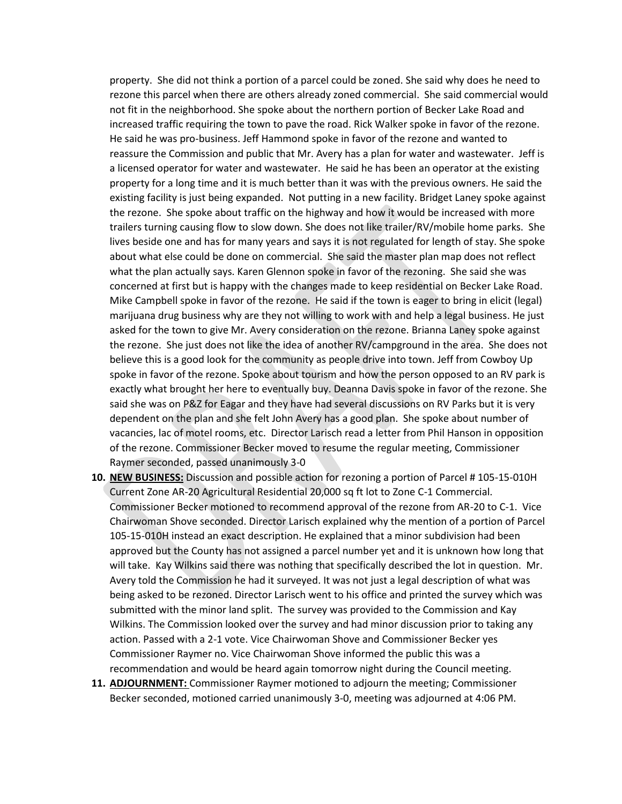property. She did not think a portion of a parcel could be zoned. She said why does he need to rezone this parcel when there are others already zoned commercial. She said commercial would not fit in the neighborhood. She spoke about the northern portion of Becker Lake Road and increased traffic requiring the town to pave the road. Rick Walker spoke in favor of the rezone. He said he was pro-business. Jeff Hammond spoke in favor of the rezone and wanted to reassure the Commission and public that Mr. Avery has a plan for water and wastewater. Jeff is a licensed operator for water and wastewater. He said he has been an operator at the existing property for a long time and it is much better than it was with the previous owners. He said the existing facility is just being expanded. Not putting in a new facility. Bridget Laney spoke against the rezone. She spoke about traffic on the highway and how it would be increased with more trailers turning causing flow to slow down. She does not like trailer/RV/mobile home parks. She lives beside one and has for many years and says it is not regulated for length of stay. She spoke about what else could be done on commercial. She said the master plan map does not reflect what the plan actually says. Karen Glennon spoke in favor of the rezoning. She said she was concerned at first but is happy with the changes made to keep residential on Becker Lake Road. Mike Campbell spoke in favor of the rezone. He said if the town is eager to bring in elicit (legal) marijuana drug business why are they not willing to work with and help a legal business. He just asked for the town to give Mr. Avery consideration on the rezone. Brianna Laney spoke against the rezone. She just does not like the idea of another RV/campground in the area. She does not believe this is a good look for the community as people drive into town. Jeff from Cowboy Up spoke in favor of the rezone. Spoke about tourism and how the person opposed to an RV park is exactly what brought her here to eventually buy. Deanna Davis spoke in favor of the rezone. She said she was on P&Z for Eagar and they have had several discussions on RV Parks but it is very dependent on the plan and she felt John Avery has a good plan. She spoke about number of vacancies, lac of motel rooms, etc. Director Larisch read a letter from Phil Hanson in opposition of the rezone. Commissioner Becker moved to resume the regular meeting, Commissioner Raymer seconded, passed unanimously 3-0

- **10. NEW BUSINESS:** Discussion and possible action for rezoning a portion of Parcel # 105-15-010H Current Zone AR-20 Agricultural Residential 20,000 sq ft lot to Zone C-1 Commercial. Commissioner Becker motioned to recommend approval of the rezone from AR-20 to C-1. Vice Chairwoman Shove seconded. Director Larisch explained why the mention of a portion of Parcel 105-15-010H instead an exact description. He explained that a minor subdivision had been approved but the County has not assigned a parcel number yet and it is unknown how long that will take. Kay Wilkins said there was nothing that specifically described the lot in question. Mr. Avery told the Commission he had it surveyed. It was not just a legal description of what was being asked to be rezoned. Director Larisch went to his office and printed the survey which was submitted with the minor land split. The survey was provided to the Commission and Kay Wilkins. The Commission looked over the survey and had minor discussion prior to taking any action. Passed with a 2-1 vote. Vice Chairwoman Shove and Commissioner Becker yes Commissioner Raymer no. Vice Chairwoman Shove informed the public this was a recommendation and would be heard again tomorrow night during the Council meeting.
- **11. ADJOURNMENT:** Commissioner Raymer motioned to adjourn the meeting; Commissioner Becker seconded, motioned carried unanimously 3-0, meeting was adjourned at 4:06 PM.